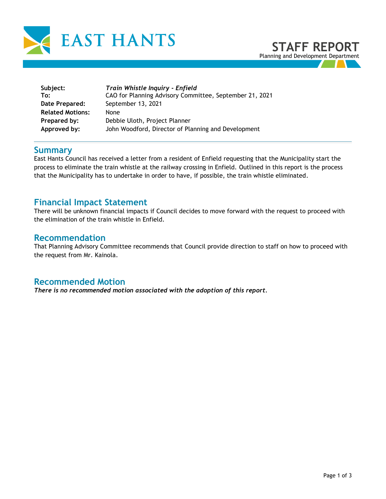

| Subject:<br>To:         | Train Whistle Inquiry - Enfield<br>CAO for Planning Advisory Committee, September 21, 2021 |
|-------------------------|--------------------------------------------------------------------------------------------|
| Date Prepared:          | September 13, 2021                                                                         |
| <b>Related Motions:</b> | <b>None</b>                                                                                |
| Prepared by:            | Debbie Uloth, Project Planner                                                              |
| Approved by:            | John Woodford, Director of Planning and Development                                        |

## **Summary**

East Hants Council has received a letter from a resident of Enfield requesting that the Municipality start the process to eliminate the train whistle at the railway crossing in Enfield. Outlined in this report is the process that the Municipality has to undertake in order to have, if possible, the train whistle eliminated.

## **Financial Impact Statement**

There will be unknown financial impacts if Council decides to move forward with the request to proceed with the elimination of the train whistle in Enfield.

## **Recommendation**

That Planning Advisory Committee recommends that Council provide direction to staff on how to proceed with the request from Mr. Kainola.

## **Recommended Motion**

*There is no recommended motion associated with the adoption of this report.*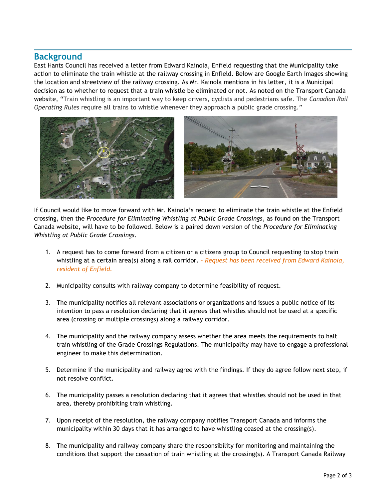## **Background**

East Hants Council has received a letter from Edward Kainola, Enfield requesting that the Municipality take action to eliminate the train whistle at the railway crossing in Enfield. Below are Google Earth images showing the location and streetview of the railway crossing. As Mr. Kainola mentions in his letter, it is a Municipal decision as to whether to request that a train whistle be eliminated or not. As noted on the Transport Canada website, "Train whistling is an important way to keep drivers, cyclists and pedestrians safe. The *Canadian Rail Operating Rules* require all trains to whistle whenever they approach a public grade crossing."



If Council would like to move forward with Mr. Kainola's request to eliminate the train whistle at the Enfield crossing, then the *Procedure for Eliminating Whistling at Public Grade Crossings*, as found on the Transport Canada website, will have to be followed. Below is a paired down version of the *Procedure for Eliminating Whistling at Public Grade Crossings*.

- 1. A request has to come forward from a citizen or a citizens group to Council requesting to stop train whistling at a certain area(s) along a rail corridor. *– Request has been received from Edward Kainola, resident of Enfield.*
- 2. Municipality consults with railway company to determine feasibility of request.
- 3. The municipality notifies all relevant associations or organizations and issues a public notice of its intention to pass a resolution declaring that it agrees that whistles should not be used at a specific area (crossing or multiple crossings) along a railway corridor.
- 4. The municipality and the railway company assess whether the area meets the requirements to halt train whistling of the Grade Crossings Regulations. The municipality may have to engage a professional engineer to make this determination.
- 5. Determine if the municipality and railway agree with the findings. If they do agree follow next step, if not resolve conflict.
- 6. The municipality passes a resolution declaring that it agrees that whistles should not be used in that area, thereby prohibiting train whistling.
- 7. Upon receipt of the resolution, the railway company notifies Transport Canada and informs the municipality within 30 days that it has arranged to have whistling ceased at the crossing(s).
- 8. The municipality and railway company share the responsibility for monitoring and maintaining the conditions that support the cessation of train whistling at the crossing(s). A Transport Canada Railway